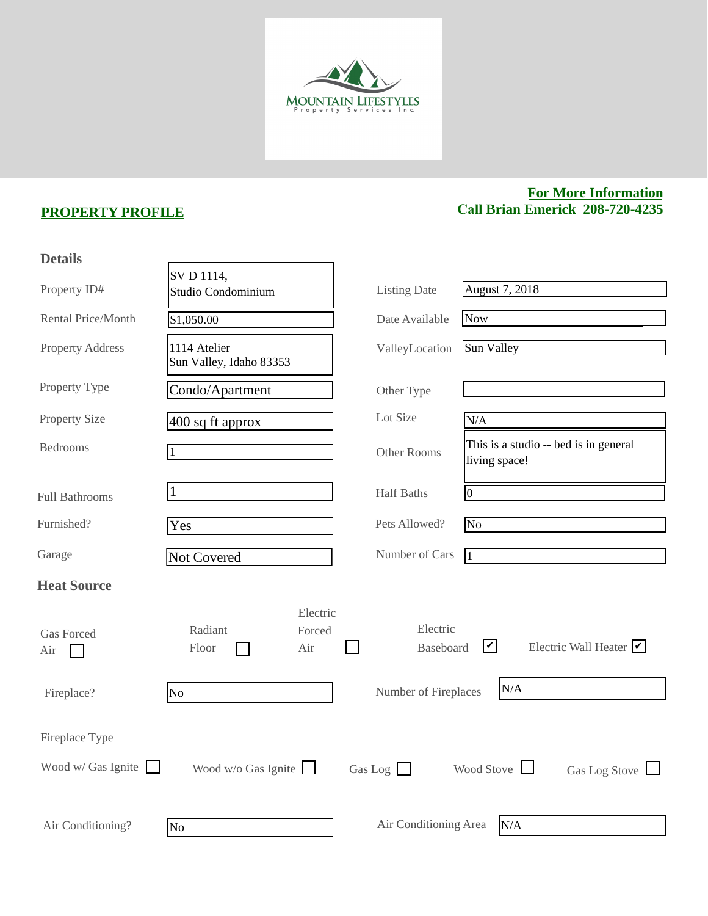

## **PROPERTY PROFILE**

## **For More Information Call Brian Emerick 208-720-4235**

| <b>Details</b>            |                                               |                              |                                                              |
|---------------------------|-----------------------------------------------|------------------------------|--------------------------------------------------------------|
| Property ID#              | SV D 1114,<br>Studio Condominium              | <b>Listing Date</b>          | <b>August 7, 2018</b>                                        |
| Rental Price/Month        | \$1,050.00                                    | Date Available               | <b>Now</b>                                                   |
| <b>Property Address</b>   | 1114 Atelier<br>Sun Valley, Idaho 83353       | ValleyLocation               | Sun Valley                                                   |
| Property Type             | Condo/Apartment                               | Other Type                   |                                                              |
| <b>Property Size</b>      | $400$ sq ft approx                            | Lot Size                     | N/A                                                          |
| <b>Bedrooms</b>           |                                               | Other Rooms                  | This is a studio -- bed is in general<br>living space!       |
| <b>Full Bathrooms</b>     |                                               | <b>Half Baths</b>            | $\overline{0}$                                               |
| Furnished?                | Yes                                           | Pets Allowed?                | No                                                           |
| Garage                    | Not Covered                                   | Number of Cars               | $\vert$ 1                                                    |
| <b>Heat Source</b>        |                                               |                              |                                                              |
| <b>Gas Forced</b><br>Air  | Electric<br>Radiant<br>Forced<br>Floor<br>Air | Electric<br><b>Baseboard</b> | $\blacktriangledown$<br>Electric Wall Heater $\triangledown$ |
| Fireplace?                | N <sub>o</sub>                                | Number of Fireplaces         | N/A                                                          |
| Fireplace Type            |                                               |                              |                                                              |
| Wood w/ Gas Ignite $\Box$ | Wood $w/o$ Gas Ignite                         | Gas Log $\Box$               | Wood Stove<br>Gas Log Stove $\Box$                           |
| Air Conditioning?         | No.                                           | Air Conditioning Area        | N/A                                                          |